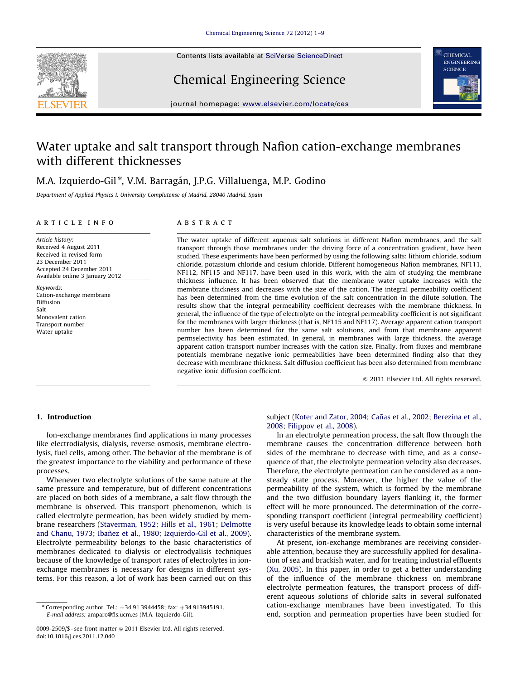

Chemical Engineering Science



journal homepage: <www.elsevier.com/locate/ces>

# Water uptake and salt transport through Nafion cation-exchange membranes with different thicknesses

## M.A. Izquierdo-Gil\*, V.M. Barragán, J.P.G. Villaluenga, M.P. Godino

Department of Applied Physics I, University Complutense of Madrid, 28040 Madrid, Spain

#### article info

Article history: Received 4 August 2011 Received in revised form 23 December 2011 Accepted 24 December 2011 Available online 3 January 2012

Keywords: Cation-exchange membrane Diffusion Salt Monovalent cation Transport number Water uptake

## ABSTRACT

The water uptake of different aqueous salt solutions in different Nafion membranes, and the salt transport through those membranes under the driving force of a concentration gradient, have been studied. These experiments have been performed by using the following salts: lithium chloride, sodium chloride, potassium chloride and cesium chloride. Different homogeneous Nafion membranes, NF111, NF112, NF115 and NF117, have been used in this work, with the aim of studying the membrane thickness influence. It has been observed that the membrane water uptake increases with the membrane thickness and decreases with the size of the cation. The integral permeability coefficient has been determined from the time evolution of the salt concentration in the dilute solution. The results show that the integral permeability coefficient decreases with the membrane thickness. In general, the influence of the type of electrolyte on the integral permeability coefficient is not significant for the membranes with larger thickness (that is, NF115 and NF117). Average apparent cation transport number has been determined for the same salt solutions, and from that membrane apparent permselectivity has been estimated. In general, in membranes with large thickness, the average apparent cation transport number increases with the cation size. Finally, from fluxes and membrane potentials membrane negative ionic permeabilities have been determined finding also that they decrease with membrane thickness. Salt diffusion coefficient has been also determined from membrane negative ionic diffusion coefficient.

 $© 2011 Elsevier Ltd. All rights reserved.$ 

#### 1. Introduction

Ion-exchange membranes find applications in many processes like electrodialysis, dialysis, reverse osmosis, membrane electrolysis, fuel cells, among other. The behavior of the membrane is of the greatest importance to the viability and performance of these processes.

Whenever two electrolyte solutions of the same nature at the same pressure and temperature, but of different concentrations are placed on both sides of a membrane, a salt flow through the membrane is observed. This transport phenomenon, which is called electrolyte permeation, has been widely studied by membrane researchers [\(Staverman, 1952](#page-7-0); [Hills et al., 1961](#page-7-0); [Delmotte](#page-7-0) [and Chanu, 1973](#page-7-0); Ibañez et al., 1980; [Izquierdo-Gil et al., 2009\)](#page-7-0). Electrolyte permeability belongs to the basic characteristics of membranes dedicated to dialysis or electrodyalisis techniques because of the knowledge of transport rates of electrolytes in ionexchange membranes is necessary for designs in different systems. For this reason, a lot of work has been carried out on this

subject ([Koter and Zator, 2004](#page-7-0); Cañas et al., 2002; [Berezina et al.,](#page-7-0) [2008;](#page-7-0) [Filippov et al., 2008\)](#page-7-0).

In an electrolyte permeation process, the salt flow through the membrane causes the concentration difference between both sides of the membrane to decrease with time, and as a consequence of that, the electrolyte permeation velocity also decreases. Therefore, the electrolyte permeation can be considered as a nonsteady state process. Moreover, the higher the value of the permeability of the system, which is formed by the membrane and the two diffusion boundary layers flanking it, the former effect will be more pronounced. The determination of the corresponding transport coefficient (integral permeability coefficient) is very useful because its knowledge leads to obtain some internal characteristics of the membrane system.

At present, ion-exchange membranes are receiving considerable attention, because they are successfully applied for desalination of sea and brackish water, and for treating industrial effluents ([Xu, 2005](#page-8-0)). In this paper, in order to get a better understanding of the influence of the membrane thickness on membrane electrolyte permeation features, the transport process of different aqueous solutions of chloride salts in several sulfonated cation-exchange membranes have been investigated. To this end, sorption and permeation properties have been studied for

 $*$  Corresponding author. Tel.:  $+34$  91 3944458; fax:  $+34$  913945191. E-mail address: [amparo@fis.ucm.es \(M.A. Izquierdo-Gil\).](mailto:amparo@fis.ucm.es)

<sup>0009-2509/\$ -</sup> see front matter  $\odot$  2011 Elsevier Ltd. All rights reserved. doi:[10.1016/j.ces.2011.12.040](dx.doi.org/10.1016/j.ces.2011.12.040)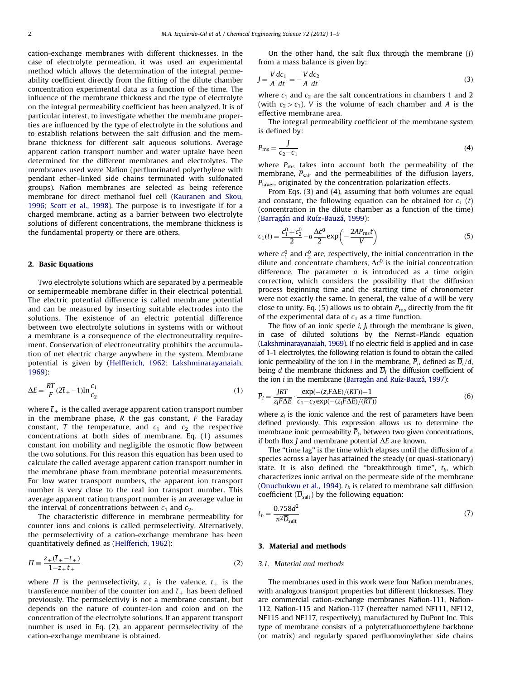cation-exchange membranes with different thicknesses. In the case of electrolyte permeation, it was used an experimental method which allows the determination of the integral permeability coefficient directly from the fitting of the dilute chamber concentration experimental data as a function of the time. The influence of the membrane thickness and the type of electrolyte on the integral permeability coefficient has been analyzed. It is of particular interest, to investigate whether the membrane properties are influenced by the type of electrolyte in the solutions and to establish relations between the salt diffusion and the membrane thickness for different salt aqueous solutions. Average apparent cation transport number and water uptake have been determined for the different membranes and electrolytes. The membranes used were Nafion (perfluorinated polyethylene with pendant ether–linked side chains terminated with sulfonated groups). Nafion membranes are selected as being reference membrane for direct methanol fuel cell [\(Kauranen and Skou,](#page-7-0) [1996](#page-7-0); [Scott et al., 1998\)](#page-7-0). The purpose is to investigate if for a charged membrane, acting as a barrier between two electrolyte solutions of different concentrations, the membrane thickness is the fundamental property or there are others.

#### 2. Basic Equations

Two electrolyte solutions which are separated by a permeable or semipermeable membrane differ in their electrical potential. The electric potential difference is called membrane potential and can be measured by inserting suitable electrodes into the solutions. The existence of an electric potential difference between two electrolyte solutions in systems with or without a membrane is a consequence of the electroneutrality requirement. Conservation of electroneutrality prohibits the accumulation of net electric charge anywhere in the system. Membrane potential is given by [\(Helfferich, 1962](#page-7-0); [Lakshminarayanaiah,](#page-7-0) [1969](#page-7-0)):

$$
\Delta E = \frac{RT}{F} (2\overline{t}_+ - 1) \ln \frac{c_1}{c_2} \tag{1}
$$

where  $\bar{t}_+$  is the called average apparent cation transport number in the membrane phase,  $R$  the gas constant,  $F$  the Faraday constant, T the temperature, and  $c_1$  and  $c_2$  the respective concentrations at both sides of membrane. Eq. (1) assumes constant ion mobility and negligible the osmotic flow between the two solutions. For this reason this equation has been used to calculate the called average apparent cation transport number in the membrane phase from membrane potential measurements. For low water transport numbers, the apparent ion transport number is very close to the real ion transport number. This average apparent cation transport number is an average value in the interval of concentrations between  $c_1$  and  $c_2$ .

The characteristic difference in membrane permeability for counter ions and coions is called permselectivity. Alternatively, the permselectivity of a cation-exchange membrane has been quantitatively defined as [\(Helfferich, 1962](#page-7-0)):

$$
\Pi \equiv \frac{Z_{+}(\bar{t}_{+} - t_{+})}{1 - Z_{+} t_{+}}
$$
\n(2)

where  $\Pi$  is the permselectivity,  $z_{+}$  is the valence,  $t_{+}$  is the transference number of the counter ion and  $\bar{t}_+$  has been defined previously. The permselectiviy is not a membrane constant, but depends on the nature of counter-ion and coion and on the concentration of the electrolyte solutions. If an apparent transport number is used in Eq. (2), an apparent permselectivity of the cation-exchange membrane is obtained.

On the other hand, the salt flux through the membrane  $(J)$ from a mass balance is given by:

$$
J = \frac{V}{A} \frac{dc_1}{dt} = -\frac{V}{A} \frac{dc_2}{dt}
$$
 (3)

where  $c_1$  and  $c_2$  are the salt concentrations in chambers 1 and 2 (with  $c_2>c_1$ ), V is the volume of each chamber and A is the effective membrane area.

The integral permeability coefficient of the membrane system is defined by:

$$
P_{\rm ms} = \frac{J}{c_2 - c_1} \tag{4}
$$

where  $P_{\text{ms}}$  takes into account both the permeability of the membrane,  $\overline{P}_{salt}$  and the permeabilities of the diffusion layers,  $P<sub>layer</sub>$ , originated by the concentration polarization effects.

From Eqs. (3) and (4), assuming that both volumes are equal and constant, the following equation can be obtained for  $c_1$  (t) (concentration in the dilute chamber as a function of the time) (Barragán and Ruíz-Bauzá, 1999):

$$
c_1(t) = \frac{c_1^0 + c_2^0}{2} - a\frac{\Delta c^0}{2} \exp\left(-\frac{2AP_{\rm ms}t}{V}\right)
$$
(5)

where  $c_1^0$  and  $c_2^0$  are, respectively, the initial concentration in the dilute and concentrate chambers,  $\Delta c^0$  is the initial concentration difference. The parameter  $a$  is introduced as a time origin correction, which considers the possibility that the diffusion process beginning time and the starting time of chronometer were not exactly the same. In general, the value of  $a$  will be very close to unity. Eq. (5) allows us to obtain  $P_{\text{ms}}$  directly from the fit of the experimental data of  $c_1$  as a time function.

The flow of an ionic specie *i*,  $J_i$  through the membrane is given, in case of diluted solutions by the Nernst–Planck equation ([Lakshminarayanaiah, 1969](#page-7-0)). If no electric field is applied and in case of 1-1 electrolytes, the following relation is found to obtain the called ionic permeability of the ion *i* in the membrane,  $\overline{P}_i$ , defined as  $\overline{D}_i/d$ , being *d* the membrane thickness and  $\overline{D}_i$  the diffusion coefficient of the ion  $i$  in the membrane (Barragán and Ruíz-Bauzá, 1997):

$$
\overline{P}_i = \frac{JRT}{z_i F \Delta E} \cdot \frac{\exp(-(z_i F \Delta E)/(RT)) - 1}{c_1 - c_2 \exp(-(z_i F \Delta E)/(RT))}
$$
(6)

where  $z_i$  is the ionic valence and the rest of parameters have been defined previously. This expression allows us to determine the membrane ionic permeability  $\overline{P}_i$ , between two given concentrations, if both flux *J* and membrane potential  $\Delta E$  are known.

The ''time lag'' is the time which elapses until the diffusion of a species across a layer has attained the steady (or quasi-stationary) state. It is also defined the "breakthrough time",  $t_b$ , which characterizes ionic arrival on the permeate side of the membrane ([Onuchukwu et al., 1994\)](#page-7-0).  $t_b$  is related to membrane salt diffusion coefficient  $(\overline{D}_{salt})$  by the following equation:

$$
t_b = \frac{0.758d^2}{\pi^2 \overline{D}_{\text{salt}}} \tag{7}
$$

### 3. Material and methods

#### 3.1. Material and methods

The membranes used in this work were four Nafion membranes, with analogous transport properties but different thicknesses. They are commercial cation-exchange membranes Nafion-111, Nafion-112, Nafion-115 and Nafion-117 (hereafter named NF111, NF112, NF115 and NF117, respectively), manufactured by DuPont Inc. This type of membrane consists of a polytetrafluoroethylene backbone (or matrix) and regularly spaced perfluorovinylether side chains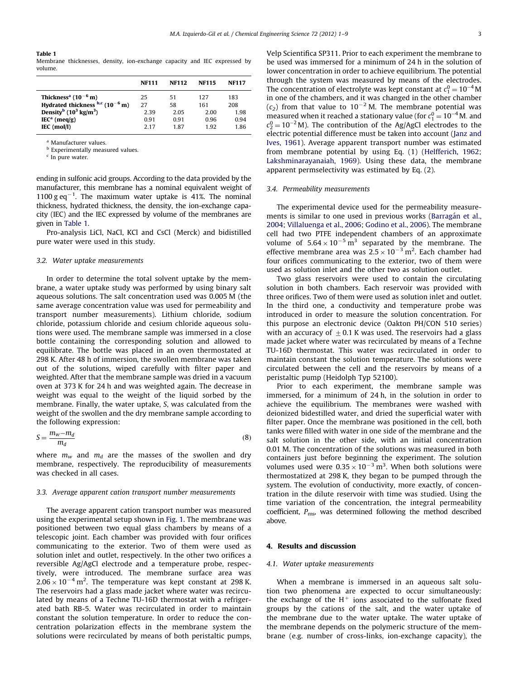#### Table 1

Membrane thicknesses, density, ion-exchange capacity and IEC expressed by volume.

|                                                           | <b>NF111</b> | <b>NF112</b> | <b>NF115</b> | <b>NF117</b> |
|-----------------------------------------------------------|--------------|--------------|--------------|--------------|
| Thickness <sup>a</sup> (10 <sup>-6</sup> m)               | 25           | 51           | 127          | 183          |
| Hydrated thickness $^{b,c}$ (10 <sup>-6</sup> m)          | 27           | 58           | 161          | 208          |
| Density <sup>b</sup> (10 <sup>3</sup> kg/m <sup>3</sup> ) | 2.39         | 2.05         | 2.00         | 1.98         |
| $IECa$ (meg/g)                                            | 0.91         | 0.91         | 0.96         | 0.94         |
| IEC (mol/l)                                               | 2.17         | 187          | 1.92         | 1.86         |

<sup>a</sup> Manufacturer values.

**b** Experimentally measured values.

 $c$  In pure water.

ending in sulfonic acid groups. According to the data provided by the manufacturer, this membrane has a nominal equivalent weight of 1100 g eq $^{-1}$ . The maximum water uptake is 41%. The nominal thickness, hydrated thickness, the density, the ion-exchange capacity (IEC) and the IEC expressed by volume of the membranes are given in Table 1.

Pro-analysis LiCl, NaCl, KCl and CsCl (Merck) and bidistilled pure water were used in this study.

#### 3.2. Water uptake measurements

In order to determine the total solvent uptake by the membrane, a water uptake study was performed by using binary salt aqueous solutions. The salt concentration used was 0.005 M (the same average concentration value was used for permeability and transport number measurements). Lithium chloride, sodium chloride, potassium chloride and cesium chloride aqueous solutions were used. The membrane sample was immersed in a close bottle containing the corresponding solution and allowed to equilibrate. The bottle was placed in an oven thermostated at 298 K. After 48 h of immersion, the swollen membrane was taken out of the solutions, wiped carefully with filter paper and weighted. After that the membrane sample was dried in a vacuum oven at 373 K for 24 h and was weighted again. The decrease in weight was equal to the weight of the liquid sorbed by the membrane. Finally, the water uptake, S, was calculated from the weight of the swollen and the dry membrane sample according to the following expression:

$$
S = \frac{m_w - m_d}{m_d} \tag{8}
$$

where  $m_w$  and  $m_d$  are the masses of the swollen and dry membrane, respectively. The reproducibility of measurements was checked in all cases.

#### 3.3. Average apparent cation transport number measurements

The average apparent cation transport number was measured using the experimental setup shown in [Fig. 1](#page-3-0). The membrane was positioned between two equal glass chambers by means of a telescopic joint. Each chamber was provided with four orifices communicating to the exterior. Two of them were used as solution inlet and outlet, respectively. In the other two orifices a reversible Ag/AgCl electrode and a temperature probe, respectively, were introduced. The membrane surface area was  $2.06 \times 10^{-4}$  m<sup>2</sup>. The temperature was kept constant at 298 K. The reservoirs had a glass made jacket where water was recirculated by means of a Techne TU-16D thermostat with a refrigerated bath RB-5. Water was recirculated in order to maintain constant the solution temperature. In order to reduce the concentration polarization effects in the membrane system the solutions were recirculated by means of both peristaltic pumps, Velp Scientifica SP311. Prior to each experiment the membrane to be used was immersed for a minimum of 24 h in the solution of lower concentration in order to achieve equilibrium. The potential through the system was measured by means of the electrodes. The concentration of electrolyte was kept constant at  $c_1^0 = 10^{-4}$  M in one of the chambers, and it was changed in the other chamber  $(c_2)$  from that value to  $10^{-2}$  M. The membrane potential was measured when it reached a stationary value (for  $c_1^0 = 10^{-4}$  M. and  $c_2^0 = 10^{-2}$  M). The contribution of the Ag/AgCl electrodes to the electric potential difference must be taken into account ([Janz and](#page-7-0) [Ives, 1961\)](#page-7-0). Average apparent transport number was estimated from membrane potential by using Eq. (1) ([Helfferich, 1962;](#page-7-0) [Lakshminarayanaiah, 1969\)](#page-7-0). Using these data, the membrane apparent permselectivity was estimated by Eq. (2).

#### 3.4. Permeability measurements

The experimental device used for the permeability measurements is similar to one used in previous works (Barragán et al., [2004;](#page-7-0) [Villaluenga et al., 2006](#page-7-0); [Godino et al., 2006\)](#page-7-0). The membrane cell had two PTFE independent chambers of an approximate volume of  $5.64 \times 10^{-5}$  m<sup>3</sup> separated by the membrane. The effective membrane area was  $2.5 \times 10^{-3}$  m<sup>2</sup>. Each chamber had four orifices communicating to the exterior, two of them were used as solution inlet and the other two as solution outlet.

Two glass reservoirs were used to contain the circulating solution in both chambers. Each reservoir was provided with three orifices. Two of them were used as solution inlet and outlet. In the third one, a conductivity and temperature probe was introduced in order to measure the solution concentration. For this purpose an electronic device (Oakton PH/CON 510 series) with an accuracy of  $\pm$  0.1 K was used. The reservoirs had a glass made jacket where water was recirculated by means of a Techne TU-16D thermostat. This water was recirculated in order to maintain constant the solution temperature. The solutions were circulated between the cell and the reservoirs by means of a peristaltic pump (Heidolph Typ 52100).

Prior to each experiment, the membrane sample was immersed, for a minimum of 24 h, in the solution in order to achieve the equilibrium. The membranes were washed with deionized bidestilled water, and dried the superficial water with filter paper. Once the membrane was positioned in the cell, both tanks were filled with water in one side of the membrane and the salt solution in the other side, with an initial concentration 0.01 M. The concentration of the solutions was measured in both containers just before beginning the experiment. The solution volumes used were  $0.35 \times 10^{-3}$  m<sup>3</sup>. When both solutions were thermostatized at 298 K, they began to be pumped through the system. The evolution of conductivity, more exactly, of concentration in the dilute reservoir with time was studied. Using the time variation of the concentration, the integral permeability coefficient,  $P_{\text{ms}}$ , was determined following the method described above.

#### 4. Results and discussion

#### 4.1. Water uptake measurements

When a membrane is immersed in an aqueous salt solution two phenomena are expected to occur simultaneously: the exchange of the  $H^+$  ions associated to the sulfonate fixed groups by the cations of the salt, and the water uptake of the membrane due to the water uptake. The water uptake of the membrane depends on the polymeric structure of the membrane (e.g. number of cross-links, ion-exchange capacity), the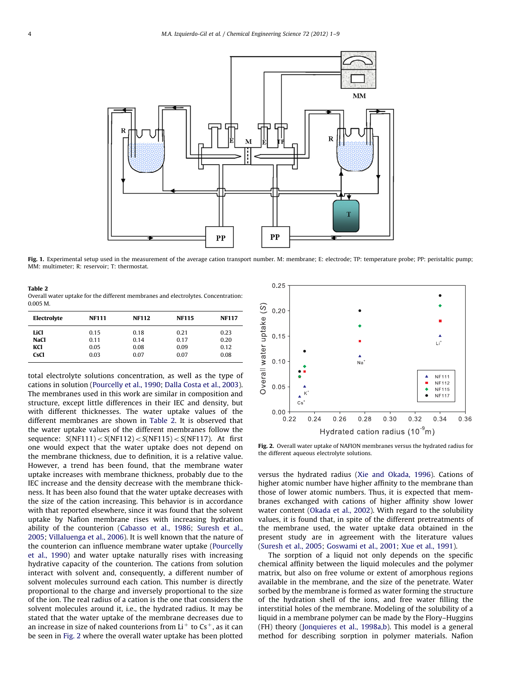<span id="page-3-0"></span>

Fig. 1. Experimental setup used in the measurement of the average cation transport number. M: membrane; E: electrode; TP: temperature probe; PP: peristaltic pump; MM: multimeter; R: reservoir; T: thermostat.

Table 2 Overall water uptake for the different membranes and electrolytes. Concentration: 0.005 M.

| Electrolyte | <b>NF111</b> | <b>NF112</b> | <b>NF115</b> | <b>NF117</b> |
|-------------|--------------|--------------|--------------|--------------|
| LiCl        | 0.15         | 0.18         | 0.21         | 0.23         |
| <b>NaCl</b> | 0.11         | 0.14         | 0.17         | 0.20         |
| KCI         | 0.05         | 0.08         | 0.09         | 0.12         |
| <b>CsCl</b> | 0.03         | 0.07         | 0.07         | 0.08         |

total electrolyte solutions concentration, as well as the type of cations in solution [\(Pourcelly et al., 1990](#page-7-0); [Dalla Costa et al., 2003\)](#page-7-0). The membranes used in this work are similar in composition and structure, except little differences in their IEC and density, but with different thicknesses. The water uptake values of the different membranes are shown in Table 2. It is observed that the water uptake values of the different membranes follow the sequence:  $S(NF111) < S(NF112) < S(NF115) < S(NF117)$ . At first one would expect that the water uptake does not depend on the membrane thickness, due to definition, it is a relative value. However, a trend has been found, that the membrane water uptake increases with membrane thickness, probably due to the IEC increase and the density decrease with the membrane thickness. It has been also found that the water uptake decreases with the size of the cation increasing. This behavior is in accordance with that reported elsewhere, since it was found that the solvent uptake by Nafion membrane rises with increasing hydration ability of the counterion ([Cabasso et al., 1986;](#page-7-0) [Suresh et al.,](#page-7-0) [2005;](#page-7-0) [Villaluenga et al., 2006\)](#page-8-0). It is well known that the nature of the counterion can influence membrane water uptake [\(Pourcelly](#page-7-0) [et al., 1990\)](#page-7-0) and water uptake naturally rises with increasing hydrative capacity of the counterion. The cations from solution interact with solvent and, consequently, a different number of solvent molecules surround each cation. This number is directly proportional to the charge and inversely proportional to the size of the ion. The real radius of a cation is the one that considers the solvent molecules around it, i.e., the hydrated radius. It may be stated that the water uptake of the membrane decreases due to an increase in size of naked counterions from  $Li<sup>+</sup>$  to  $Cs<sup>+</sup>$ , as it can be seen in Fig. 2 where the overall water uptake has been plotted



Fig. 2. Overall water uptake of NAFION membranes versus the hydrated radius for the different aqueous electrolyte solutions.

versus the hydrated radius ([Xie and Okada, 1996](#page-8-0)). Cations of higher atomic number have higher affinity to the membrane than those of lower atomic numbers. Thus, it is expected that membranes exchanged with cations of higher affinity show lower water content [\(Okada et al., 2002\)](#page-7-0). With regard to the solubility values, it is found that, in spite of the different pretreatments of the membrane used, the water uptake data obtained in the present study are in agreement with the literature values ([Suresh et al., 2005](#page-7-0); [Goswami et al., 2001](#page-7-0); [Xue et al., 1991\)](#page-8-0).

The sorption of a liquid not only depends on the specific chemical affinity between the liquid molecules and the polymer matrix, but also on free volume or extent of amorphous regions available in the membrane, and the size of the penetrate. Water sorbed by the membrane is formed as water forming the structure of the hydration shell of the ions, and free water filling the interstitial holes of the membrane. Modeling of the solubility of a liquid in a membrane polymer can be made by the Flory–Huggins (FH) theory [\(Jonquieres et al., 1998a,b](#page-7-0)). This model is a general method for describing sorption in polymer materials. Nafion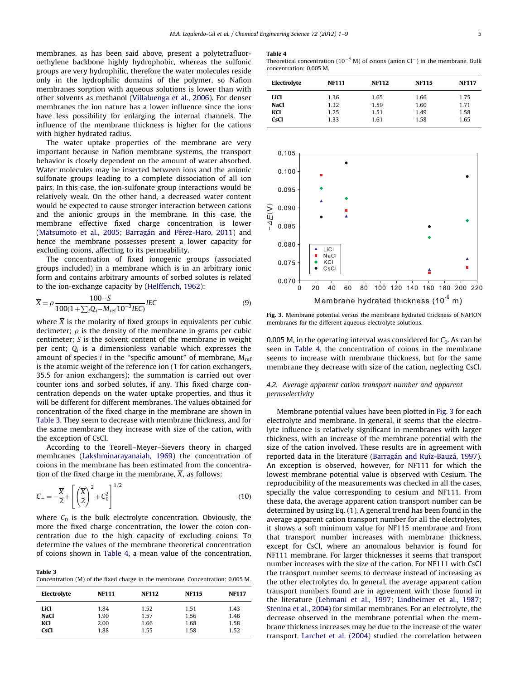<span id="page-4-0"></span>membranes, as has been said above, present a polytetrafluoroethylene backbone highly hydrophobic, whereas the sulfonic groups are very hydrophilic, therefore the water molecules reside only in the hydrophilic domains of the polymer, so Nafion membranes sorption with aqueous solutions is lower than with other solvents as methanol ([Villaluenga et al., 2006](#page-8-0)). For denser membranes the ion nature has a lower influence since the ions have less possibility for enlarging the internal channels. The influence of the membrane thickness is higher for the cations with higher hydrated radius.

The water uptake properties of the membrane are very important because in Nafion membrane systems, the transport behavior is closely dependent on the amount of water absorbed. Water molecules may be inserted between ions and the anionic sulfonate groups leading to a complete dissociation of all ion pairs. In this case, the ion-sulfonate group interactions would be relatively weak. On the other hand, a decreased water content would be expected to cause stronger interaction between cations and the anionic groups in the membrane. In this case, the membrane effective fixed charge concentration is lower ([Matsumoto et al., 2005;](#page-7-0) Barragán and Pérez-Haro, 2011) and hence the membrane possesses present a lower capacity for excluding coions, affecting to its permeability.

The concentration of fixed ionogenic groups (associated groups included) in a membrane which is in an arbitrary ionic form and contains arbitrary amounts of sorbed solutes is related to the ion-exchange capacity by [\(Helfferich, 1962\)](#page-7-0):

$$
\overline{X} = \rho \frac{100 - S}{100(1 + \sum_{i} Q_i - M_{ref} 10^{-3} IEC)} IEC
$$
 (9)

where  $\overline{X}$  is the molarity of fixed groups in equivalents per cubic decimeter;  $\rho$  is the density of the membrane in grams per cubic centimeter; S is the solvent content of the membrane in weight per cent;  $Q_i$  is a dimensionless variable which expresses the amount of species *i* in the "specific amount" of membrane,  $M_{ref}$ is the atomic weight of the reference ion (1 for cation exchangers, 35.5 for anion exchangers); the summation is carried out over counter ions and sorbed solutes, if any. This fixed charge concentration depends on the water uptake properties, and thus it will be different for different membranes. The values obtained for concentration of the fixed charge in the membrane are shown in Table 3. They seem to decrease with membrane thickness, and for the same membrane they increase with size of the cation, with the exception of CsCl.

According to the Teorell–Meyer–Sievers theory in charged membranes [\(Lakshminarayanaiah, 1969\)](#page-7-0) the concentration of coions in the membrane has been estimated from the concentration of the fixed charge in the membrane,  $\overline{X}$ , as follows:

$$
\overline{C}_{-} = -\frac{\overline{X}}{2} + \left[ \left( \frac{\overline{X}}{2} \right)^2 + C_0^2 \right]^{1/2} \tag{10}
$$

where  $C_0$  is the bulk electrolyte concentration. Obviously, the more the fixed charge concentration, the lower the coion concentration due to the high capacity of excluding coions. To determine the values of the membrane theoretical concentration of coions shown in Table 4, a mean value of the concentration,

Table 3 Concentration (M) of the fixed charge in the membrane. Concentration: 0.005 M.

| Electrolyte | <b>NF111</b> | <b>NF112</b> | <b>NF115</b> | <b>NF117</b> |
|-------------|--------------|--------------|--------------|--------------|
| LiCl        | 1.84         | 1.52         | 1.51         | 1.43         |
| <b>NaCl</b> | 1.90         | 1.57         | 1.56         | 1.46         |
| KCI         | 2.00         | 1.66         | 1.68         | 1.58         |
| <b>CsCl</b> | 1.88         | 1.55         | 1.58         | 1.52         |

#### Table 4

Theoretical concentration (10<sup>-5</sup> M) of coions (anion Cl<sup>-</sup>) in the membrane. Bulk concentration: 0.005 M.

| Electrolyte | <b>NF111</b> | <b>NF112</b> | <b>NF115</b> | <b>NF117</b> |
|-------------|--------------|--------------|--------------|--------------|
| LiCl        | 1.36         | 1.65         | 1.66         | 1.75         |
| <b>NaCl</b> | 1.32         | 1.59         | 1.60         | 1.71         |
| KCl         | 1.25         | 1.51         | 1.49         | 1.58         |
| <b>CsCl</b> | 1.33         | 1.61         | 1.58         | 1.65         |



Fig. 3. Membrane potential versus the membrane hydrated thickness of NAFION membranes for the different aqueous electrolyte solutions.

0.005 M, in the operating interval was considered for  $C_0$ . As can be seen in Table 4, the concentration of coions in the membrane seems to increase with membrane thickness, but for the same membrane they decrease with size of the cation, neglecting CsCl.

#### 4.2. Average apparent cation transport number and apparent permselectivity

Membrane potential values have been plotted in Fig. 3 for each electrolyte and membrane. In general, it seems that the electrolyte influence is relatively significant in membranes with larger thickness, with an increase of the membrane potential with the size of the cation involved. These results are in agreement with reported data in the literature (Barragán and Ruíz-Bauzá, 1997). An exception is observed, however, for NF111 for which the lowest membrane potential value is observed with Cesium. The reproducibility of the measurements was checked in all the cases, specially the value corresponding to cesium and NF111. From these data, the average apparent cation transport number can be determined by using Eq. (1). A general trend has been found in the average apparent cation transport number for all the electrolytes, it shows a soft minimum value for NF115 membrane and from that transport number increases with membrane thickness, except for CsCl, where an anomalous behavior is found for NF111 membrane. For larger thicknesses it seems that transport number increases with the size of the cation. For NF111 with CsCl the transport number seems to decrease instead of increasing as the other electrolytes do. In general, the average apparent cation transport numbers found are in agreement with those found in the literature [\(Lehmani et al., 1997;](#page-7-0) [Lindheimer et al., 1987;](#page-7-0) [Stenina et al., 2004\)](#page-7-0) for similar membranes. For an electrolyte, the decrease observed in the membrane potential when the membrane thickness increases may be due to the increase of the water transport. [Larchet et al. \(2004\)](#page-7-0) studied the correlation between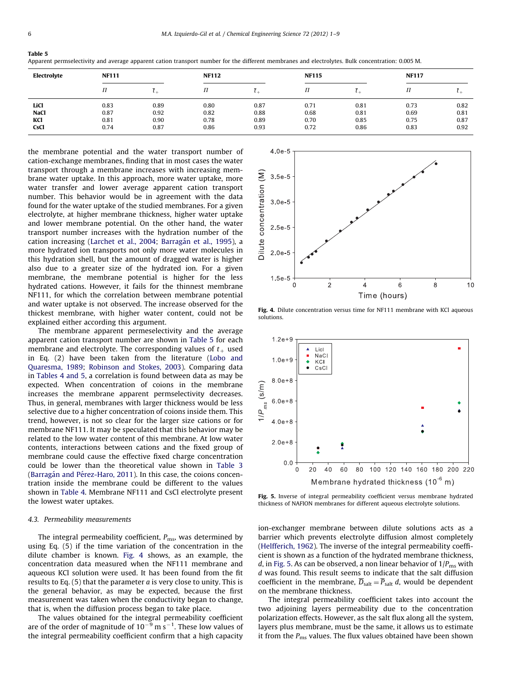<span id="page-5-0"></span>

| anı |  |
|-----|--|
|-----|--|

Apparent permselectivity and average apparent cation transport number for the different membranes and electrolytes. Bulk concentration: 0.005 M.

| Electrolyte | <b>NF111</b> |      | <b>NF112</b> |      | <b>NF115</b> |      | <b>NF117</b> |      |
|-------------|--------------|------|--------------|------|--------------|------|--------------|------|
|             | П            |      | 11           | ı.,  |              |      | П            |      |
| LiCl        | 0.83         | 0.89 | 0.80         | 0.87 | 0.71         | 0.81 | 0.73         | 0.82 |
| <b>NaCl</b> | 0.87         | 0.92 | 0.82         | 0.88 | 0.68         | 0.81 | 0.69         | 0.81 |
| KCI         | 0.81         | 0.90 | 0.78         | 0.89 | 0.70         | 0.85 | 0.75         | 0.87 |
| <b>CsCl</b> | 0.74         | 0.87 | 0.86         | 0.93 | 0.72         | 0.86 | 0.83         | 0.92 |

the membrane potential and the water transport number of cation-exchange membranes, finding that in most cases the water transport through a membrane increases with increasing membrane water uptake. In this approach, more water uptake, more water transfer and lower average apparent cation transport number. This behavior would be in agreement with the data found for the water uptake of the studied membranes. For a given electrolyte, at higher membrane thickness, higher water uptake and lower membrane potential. On the other hand, the water transport number increases with the hydration number of the cation increasing ([Larchet et al., 2004;](#page-7-0) Barragán et al., 1995), a more hydrated ion transports not only more water molecules in this hydration shell, but the amount of dragged water is higher also due to a greater size of the hydrated ion. For a given membrane, the membrane potential is higher for the less hydrated cations. However, it fails for the thinnest membrane NF111, for which the correlation between membrane potential and water uptake is not observed. The increase observed for the thickest membrane, with higher water content, could not be explained either according this argument.

The membrane apparent permeselectivity and the average apparent cation transport number are shown in Table 5 for each membrane and electrolyte. The corresponding values of  $t<sub>+</sub>$  used in Eq. (2) have been taken from the literature [\(Lobo and](#page-7-0) [Quaresma, 1989;](#page-7-0) [Robinson and Stokes, 2003\)](#page-7-0). Comparing data in [Tables 4 and 5](#page-4-0), a correlation is found between data as may be expected. When concentration of coions in the membrane increases the membrane apparent permselectivity decreases. Thus, in general, membranes with larger thickness would be less selective due to a higher concentration of coions inside them. This trend, however, is not so clear for the larger size cations or for membrane NF111. It may be speculated that this behavior may be related to the low water content of this membrane. At low water contents, interactions between cations and the fixed group of membrane could cause the effective fixed charge concentration could be lower than the theoretical value shown in [Table 3](#page-4-0) (Barragán and Pérez-Haro, 2011). In this case, the coions concentration inside the membrane could be different to the values shown in [Table 4](#page-4-0). Membrane NF111 and CsCl electrolyte present the lowest water uptakes.

#### 4.3. Permeability measurements

The integral permeability coefficient,  $P_{\text{ms}}$ , was determined by using Eq. (5) if the time variation of the concentration in the dilute chamber is known. Fig. 4 shows, as an example, the concentration data measured when the NF111 membrane and aqueous KCl solution were used. It has been found from the fit results to Eq.  $(5)$  that the parameter *a* is very close to unity. This is the general behavior, as may be expected, because the first measurement was taken when the conductivity began to change, that is, when the diffusion process began to take place.

The values obtained for the integral permeability coefficient are of the order of magnitude of  $10^{-9}$  m s $^{-1}$ . These low values of the integral permeability coefficient confirm that a high capacity



Fig. 4. Dilute concentration versus time for NF111 membrane with KCl aqueous solutions.



Fig. 5. Inverse of integral permeability coefficient versus membrane hydrated thickness of NAFION membranes for different aqueous electrolyte solutions.

ion-exchanger membrane between dilute solutions acts as a barrier which prevents electrolyte diffusion almost completely ([Helfferich, 1962](#page-7-0)). The inverse of the integral permeability coefficient is shown as a function of the hydrated membrane thickness, d, in Fig. 5. As can be observed, a non linear behavior of  $1/P_{\text{ms}}$  with d was found. This result seems to indicate that the salt diffusion coefficient in the membrane,  $\overline{D}_{salt} = \overline{P}_{salt} d$ , would be dependent on the membrane thickness.

The integral permeability coefficient takes into account the two adjoining layers permeability due to the concentration polarization effects. However, as the salt flux along all the system, layers plus membrane, must be the same, it allows us to estimate it from the  $P_{\text{ms}}$  values. The flux values obtained have been shown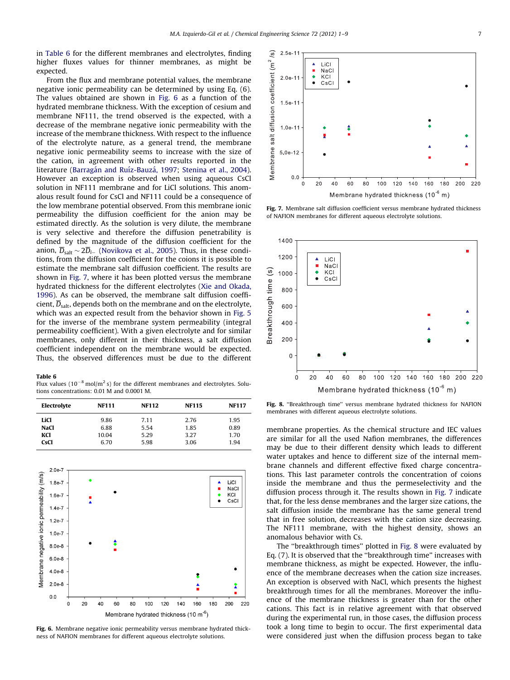in Table 6 for the different membranes and electrolytes, finding higher fluxes values for thinner membranes, as might be expected.

From the flux and membrane potential values, the membrane negative ionic permeability can be determined by using Eq. (6). The values obtained are shown in Fig. 6 as a function of the hydrated membrane thickness. With the exception of cesium and membrane NF111, the trend observed is the expected, with a decrease of the membrane negative ionic permeability with the increase of the membrane thickness. With respect to the influence of the electrolyte nature, as a general trend, the membrane negative ionic permeability seems to increase with the size of the cation, in agreement with other results reported in the literature (Barragán and Ruíz-Bauzá, 1997; [Stenina et al., 2004\)](#page-7-0). However an exception is observed when using aqueous CsCl solution in NF111 membrane and for LiCl solutions. This anomalous result found for CsCl and NF111 could be a consequence of the low membrane potential observed. From this membrane ionic permeability the diffusion coefficient for the anion may be estimated directly. As the solution is very dilute, the membrane is very selective and therefore the diffusion penetrability is defined by the magnitude of the diffusion coefficient for the anion,  $D_{\text{salt}} \sim 2D_{i-}$  ([Novikova et al., 2005](#page-7-0)). Thus, in these conditions, from the diffusion coefficient for the coions it is possible to estimate the membrane salt diffusion coefficient. The results are shown in Fig. 7, where it has been plotted versus the membrane hydrated thickness for the different electrolytes ([Xie and Okada,](#page-8-0) [1996\)](#page-8-0). As can be observed, the membrane salt diffusion coefficient,  $\overline{D}_{salt}$ , depends both on the membrane and on the electrolyte, which was an expected result from the behavior shown in [Fig. 5](#page-5-0) for the inverse of the membrane system permeability (integral permeability coefficient). With a given electrolyte and for similar membranes, only different in their thickness, a salt diffusion coefficient independent on the membrane would be expected. Thus, the observed differences must be due to the different

#### Table 6

Flux values ( $10^{-8}$  mol/m<sup>2</sup> s) for the different membranes and electrolytes. Solutions concentrations: 0.01 M and 0.0001 M.

| Electrolyte | <b>NF111</b> | <b>NF112</b> | <b>NF115</b> | <b>NF117</b> |
|-------------|--------------|--------------|--------------|--------------|
| LiCl        | 9.86         | 7.11         | 2.76         | 1.95         |
| <b>NaCl</b> | 6.88         | 5.54         | 1.85         | 0.89         |
| KCI         | 10.04        | 5.29         | 3.27         | 1.70         |
| <b>CsCl</b> | 6.70         | 5.98         | 3.06         | 1.94         |



Fig. 6. Membrane negative ionic permeability versus membrane hydrated thickness of NAFION membranes for different aqueous electrolyte solutions.



Fig. 7. Membrane salt diffusion coefficient versus membrane hydrated thickness of NAFION membranes for different aqueous electrolyte solutions.



Fig. 8. "Breakthrough time" versus membrane hydrated thickness for NAFION membranes with different aqueous electrolyte solutions.

membrane properties. As the chemical structure and IEC values are similar for all the used Nafion membranes, the differences may be due to their different density which leads to different water uptakes and hence to different size of the internal membrane channels and different effective fixed charge concentrations. This last parameter controls the concentration of coions inside the membrane and thus the permeselectivity and the diffusion process through it. The results shown in Fig. 7 indicate that, for the less dense membranes and the larger size cations, the salt diffusion inside the membrane has the same general trend that in free solution, decreases with the cation size decreasing. The NF111 membrane, with the highest density, shows an anomalous behavior with Cs.

The ''breakthrough times'' plotted in Fig. 8 were evaluated by Eq. (7). It is observed that the ''breakthrough time'' increases with membrane thickness, as might be expected. However, the influence of the membrane decreases when the cation size increases. An exception is observed with NaCl, which presents the highest breakthrough times for all the membranes. Moreover the influence of the membrane thickness is greater than for the other cations. This fact is in relative agreement with that observed during the experimental run, in those cases, the diffusion process took a long time to begin to occur. The first experimental data were considered just when the diffusion process began to take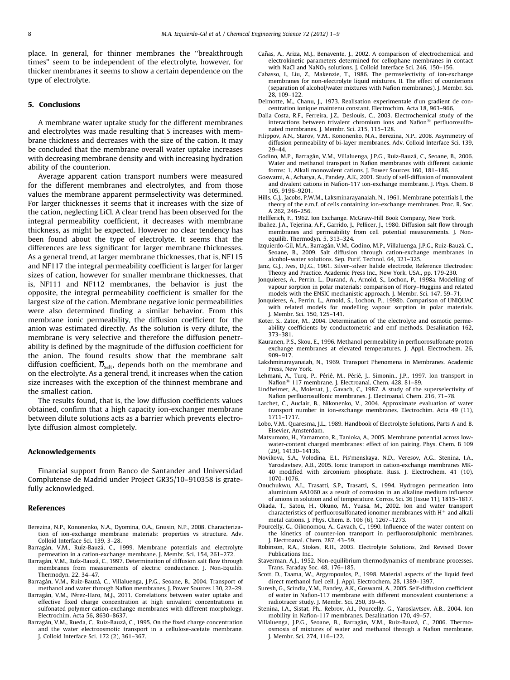<span id="page-7-0"></span>place. In general, for thinner membranes the ''breakthrough times'' seem to be independent of the electrolyte, however, for thicker membranes it seems to show a certain dependence on the type of electrolyte.

#### 5. Conclusions

A membrane water uptake study for the different membranes and electrolytes was made resulting that S increases with membrane thickness and decreases with the size of the cation. It may be concluded that the membrane overall water uptake increases with decreasing membrane density and with increasing hydration ability of the counterion.

Average apparent cation transport numbers were measured for the different membranes and electrolytes, and from those values the membrane apparent permselectivity was determined. For larger thicknesses it seems that it increases with the size of the cation, neglecting LiCl. A clear trend has been observed for the integral permeability coefficient, it decreases with membrane thickness, as might be expected. However no clear tendency has been found about the type of electrolyte. It seems that the differences are less significant for larger membrane thicknesses. As a general trend, at larger membrane thicknesses, that is, NF115 and NF117 the integral permeability coefficient is larger for larger sizes of cation, however for smaller membrane thicknesses, that is, NF111 and NF112 membranes, the behavior is just the opposite, the integral permeability coefficient is smaller for the largest size of the cation. Membrane negative ionic permeabilities were also determined finding a similar behavior. From this membrane ionic permeability, the diffusion coefficient for the anion was estimated directly. As the solution is very dilute, the membrane is very selective and therefore the diffusion penetrability is defined by the magnitude of the diffusion coefficient for the anion. The found results show that the membrane salt diffusion coefficient,  $\overline{D}_{salt}$ , depends both on the membrane and on the electrolyte. As a general trend, it increases when the cation size increases with the exception of the thinnest membrane and the smallest cation.

The results found, that is, the low diffusion coefficients values obtained, confirm that a high capacity ion-exchanger membrane between dilute solutions acts as a barrier which prevents electrolyte diffusion almost completely.

#### Acknowledgements

Financial support from Banco de Santander and Universidad Complutense de Madrid under Project GR35/10–910358 is gratefully acknowledged.

#### References

- Berezina, N.P., Kononenko, N.A., Dyomina, O.A., Gnusin, N.P., 2008. Characterization of ion-exchange membrane materials: properties vs structure. Adv. Colloid Interface Sci. 139, 3–28.
- Barragán, V.M., Ruíz-Bauzá, C., 1999. Membrane potentials and electrolyte permeation in a cation-exchange membrane. J. Membr. Sci. 154, 261–272.
- Barragán, V.M., Ruíz-Bauzá, C., 1997. Determination of diffusion salt flow through membranes from measurements of electric conductance. J. Non-Equilib. Thermodyn. 22, 34–47.
- Barragán, V.M., Ruiz-Bauzá, C., Villaluenga, J.P.G., Seoane, B., 2004. Transport of methanol and water through Nafion membranes. J. Power Sources 130, 22–29.
- Barragán, V.M., Pérez-Haro, M.J., 2011. Correlations between water uptake and effective fixed charge concentration at high univalent concentrations in sulfonated polymer cation-exchange membranes with different morphology. Electrochim. Acta 56, 8630–8637.
- Barragán, V.M., Rueda, C., Ruiz-Bauzá, C., 1995. On the fixed charge concentration and the water electroosmotic transport in a cellulose-acetate membrane. J. Colloid Interface Sci. 172 (2), 361–367.
- Cañas, A., Ariza, M.J., Benavente, J., 2002. A comparison of electrochemical and electrokinetic parameters determined for cellophane membranes in contact with NaCl and NaNO<sub>3</sub> solutions. J. Colloid Interface Sci. 246, 150-156.
- Cabasso, I., Liu, Z., Makenzie, T., 1986. The permselectivity of ion-exchange membranes for non-electrolyte liquid mixtures. II. The effect of counterions (separation of alcohol/water mixtures with Nafion membranes). J. Membr. Sci. 28, 109–122.
- Delmotte, M., Chanu, J., 1973. Realisation experimentale d'un gradient de concentration ionique maintenu constant. Electrochim. Acta 18, 963–966.
- Dalla Costa, R.F., Ferreira, J.Z., Deslouis, C., 2003. Electrochemical study of the interactions between trivalent chromium ions and Nafion<sup>®</sup> perfluorosulfonated membranes. J. Membr. Sci. 215, 115–128.
- Filippov, A.N., Starov, V.M., Kononenko, N.A., Berezina, N.P., 2008. Asymmetry of diffusion permeability of bi-layer membranes. Adv. Colloid Interface Sci. 139, 29–44.
- Godino, M.P., Barragán, V.M., Villaluenga, J.P.G., Ruiz-Bauzá, C., Seoane, B., 2006. Water and methanol transport in Nafion membranes with different cationic forms: 1. Alkali monovalent cations. J. Power Sources 160, 181–186.
- Goswami, A., Acharya, A., Pandey, A.K., 2001. Study of self-diffusion of monovalent and divalent cations in Nafion-117 ion-exchange membrane. J. Phys. Chem. B 105, 9196–9201.
- Hills, G.J., Jacobs, P.W.M., Laksminarayanaiah, N., 1961. Membrane potentials I, the theory of the e.m.f. of cells containing ion-exchange membranes. Proc. R. Soc. A 262, 246–256.
- Helfferich, F., 1962. Ion Exchange. McGraw-Hill Book Company, New York.
- Ibañez, J.A., Tejerina, A.F., Garrido, J., Pellicer, J., 1980. Diffusion salt flow through membranes and permeability from cell potential measurements. J. Nonequilib. Thermodyn. 5, 313–324.
- Izquierdo-Gil, M.A., Barragán, V.M., Godino, M.P., Villaluenga, J.P.G., Ruiz-Bauzá, C. Seoane, B., 2009. Salt diffusion through cation-exchange membranes in alcohol–water solutions. Sep. Purif. Technol. 64, 321–325.
- Janz, G.J., Ives, D.J.G., 1961. Silver–silver halide electrode, Reference Electrodes: Theory and Practice. Academic Press Inc., New York, USA., pp. 179-230.
- Jonquieres, A., Perrin, L., Durand, A., Arnold, S., Lochon, P., 1998a. Modelling of vapour sorption in polar materials: comparison of Flory–Huggins and related models with the ENSIC mechanistic approach. J. Membr. Sci. 147, 59–71.
- Jonquieres, A., Perrin, L., Arnold, S., Lochon, P., 1998b. Comparison of UNIQUAC with related models for modelling vapour sorption in polar materials. J. Membr. Sci. 150, 125–141.
- Koter, S., Zator, M., 2004. Determination of the electrolyte and osmotic permeability coefficients by conductometric and emf methods. Desalination 162, 373–381.
- Kauranen, P.S., Skou, E., 1996. Methanol permeability in perfluorosulfonate proton exchange membranes at elevated temperatures. J. Appl. Electrochem. 26, 909–917.
- Lakshminarayanaiah, N., 1969. Transport Phenomena in Membranes. Academic Press, New York.
- Lehmani, A., Turq, P., Périé, M., Périé, J., Simonin., J.P., 1997. Ion transport in Nafion<sup>®</sup> 117 membrane. J. Electroanal. Chem. 428, 81-89.
- Lindheimer, A., Molenat, J., Gavach, C., 1987. A study of the superselectivity of Nafion perfluorosulfonic membranes. J. Electroanal. Chem. 216, 71–78.
- Larchet, C., Auclair, B., Nikonenko, V., 2004. Approximate evaluation of water transport number in ion-exchange membranes. Electrochim. Acta 49 (11), 1711–1717.
- Lobo, V.M., Quaresma, J.L., 1989. Handbook of Electrolyte Solutions, Parts A and B. Elsevier, Amsterdam.
- Matsumoto, H., Yamamoto, R., Tanioka, A., 2005. Membrane potential across lowwater-content charged membranes: effect of ion pairing. Phys. Chem. B 109 (29), 14130–14136.
- Novikova, S.A., Volodina, E.I., Pis'menskaya, N.D., Veresov, A.G., Stenina, I.A., Yaroslavtsev, A.B., 2005. Ionic transport in cation-exchange membranes MK-40 modified with zirconium phosphate. Russ. J. Electrochem. 41 (10), 1070–1076.
- Onuchukwu, A.I., Trasatti, S.P., Trasatti, S., 1994. Hydrogen permeation into aluminium AA1060 as a result of corrosion in an alkaline medium influence of anions in solution and of temperature. Corros. Sci. 36 (Issue 11), 1815–1817.
- Okada, T., Satou, H., Okuno, M., Yuasa, M., 2002. Ion and water transport characteristics of perfluorosulfonated ionomer membranes with  $H^+$  and alkali metal cations. J. Phys. Chem. B. 106 (6), 1267–1273.
- Pourcelly, G., Oikonomou, A., Gavach, C., 1990. Influence of the water content on the kinetics of counter-ion transport in perfluorosulphonic membranes. J. Electroanal. Chem. 287, 43–59.
- Robinson, R.A., Stokes, R.H., 2003. Electrolyte Solutions, 2nd Revised Dover Publications Inc..
- Staverman, A.J., 1952. Non-equilibrium thermodynamics of membrane processes. Trans. Faraday Soc. 48, 176–185.
- Scott, D., Taama, W., Argyropoulos, P., 1998. Material aspects of the liquid feed direct methanol fuel cell. J. Appl. Electrochem. 28, 1389–1397.
- Suresh, G., Scindia, Y.M., Pandey, A.K., Goswami, A., 2005. Self-diffusion coefficient of water in Nafion-117 membrane with different monovalent counterions: a radiotracer study. J. Membr. Sci. 250, 39–45.
- Stenina, I.A., Sistat, Ph., Rebrov, A.I., Pourcelly, G., Yaroslavtsev, A.B., 2004. Ion mobility in Nafion-117 membranes. Desalination 170, 49–57.
- Villaluenga, J.P.G., Seoane, B., Barragán, V.M., Ruiz-Bauzá, C., 2006. Thermoosmosis of mixtures of water and methanol through a Nafion membrane. J. Membr. Sci. 274, 116–122.